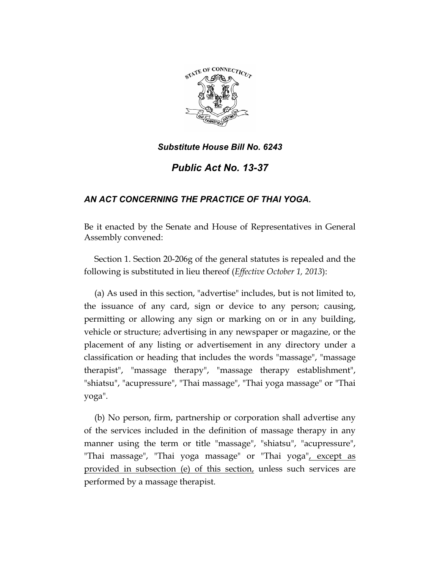

# *Substitute House Bill No. 6243*

## *Public Act No. 13-37*

## *AN ACT CONCERNING THE PRACTICE OF THAI YOGA.*

Be it enacted by the Senate and House of Representatives in General Assembly convened:

Section 1. Section 20-206g of the general statutes is repealed and the following is substituted in lieu thereof (*Effective October 1, 2013*):

(a) As used in this section, "advertise" includes, but is not limited to, the issuance of any card, sign or device to any person; causing, permitting or allowing any sign or marking on or in any building, vehicle or structure; advertising in any newspaper or magazine, or the placement of any listing or advertisement in any directory under a classification or heading that includes the words "massage", "massage therapist", "massage therapy", "massage therapy establishment", "shiatsu", "acupressure", "Thai massage", "Thai yoga massage" or "Thai yoga".

(b) No person, firm, partnership or corporation shall advertise any of the services included in the definition of massage therapy in any manner using the term or title "massage", "shiatsu", "acupressure", "Thai massage", "Thai yoga massage" or "Thai yoga", except as provided in subsection (e) of this section, unless such services are performed by a massage therapist.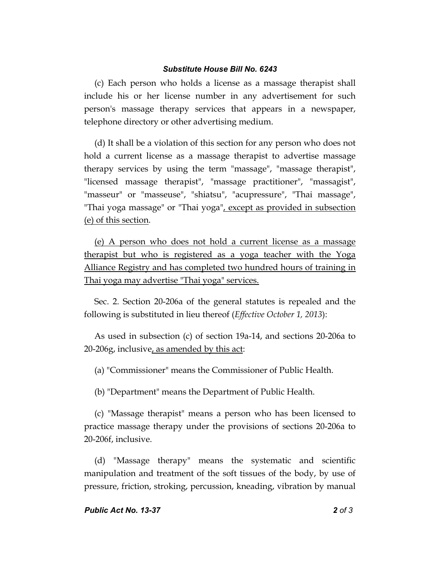#### *Substitute House Bill No. 6243*

(c) Each person who holds a license as a massage therapist shall include his or her license number in any advertisement for such person's massage therapy services that appears in a newspaper, telephone directory or other advertising medium.

(d) It shall be a violation of this section for any person who does not hold a current license as a massage therapist to advertise massage therapy services by using the term "massage", "massage therapist", "licensed massage therapist", "massage practitioner", "massagist", "masseur" or "masseuse", "shiatsu", "acupressure", "Thai massage", "Thai yoga massage" or "Thai yoga", except as provided in subsection (e) of this section.

(e) A person who does not hold a current license as a massage therapist but who is registered as a yoga teacher with the Yoga Alliance Registry and has completed two hundred hours of training in Thai yoga may advertise "Thai yoga" services.

Sec. 2. Section 20-206a of the general statutes is repealed and the following is substituted in lieu thereof (*Effective October 1, 2013*):

As used in subsection (c) of section 19a-14, and sections 20-206a to 20-206g, inclusive, as amended by this act:

(a) "Commissioner" means the Commissioner of Public Health.

(b) "Department" means the Department of Public Health.

(c) "Massage therapist" means a person who has been licensed to practice massage therapy under the provisions of sections 20-206a to 20-206f, inclusive.

(d) "Massage therapy" means the systematic and scientific manipulation and treatment of the soft tissues of the body, by use of pressure, friction, stroking, percussion, kneading, vibration by manual